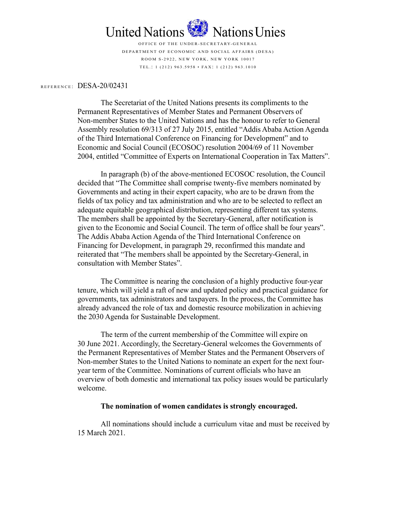

United Nations<br>
OFFICE OF THE UNDER-SECRETARY-GENERAL<br>
DEPARTMENT OF ECONOMIC AND SOCIAL AFFAIRS (DESA)<br>
ROOM S-2922, NEW YORK, NEW YORK, NEW YORK, 10017<br>
TEL.: 1 (212) 963.5958 · FAX: 1 (212) 963.1010<br>
1/02431

United Nations Mations Unies<br> **EXECUTE OF THE UNDER ACTEURATE CONTRACT CONTRACT CONTRACT CONTRACT CONDUCT AN ART ARE SANTANY CONDUCT THE L: 1 (212) 963.5958 • FAX: 1 (212) 963.1010<br>
REFERENCE: DESA-20/02431<br>
The Secretaria** The Secretariat of the United Nations presents its compliments to the Permanent Representatives of Member States and Permanent Observers of Non-member States to the United Nations and has the honour to refer to General Assembly resolution 69/313 of 27 July 2015, entitled "Addis Ababa Action Agenda of the Third International Conference on Financing for Development" and to Economic and Social Council (ECOSOC) resolution 2004/69 of 11 November 2004, entitled "Committee of Experts on International Cooperation in Tax Matters".

In paragraph (b) of the above-mentioned ECOSOC resolution, the Council decided that "The Committee shall comprise twenty-five members nominated by Governments and acting in their expert capacity, who are to be drawn from the fields of tax policy and tax administration and who are to be selected to reflect an adequate equitable geographical distribution, representing different tax systems. The members shall be appointed by the Secretary-General, after notification is given to the Economic and Social Council. The term of office shall be four years". The Addis Ababa Action Agenda of the Third International Conference on Financing for Development, in paragraph 29, reconfirmed this mandate and reiterated that "The members shall be appointed by the Secretary-General, in consultation with Member States".

 The Committee is nearing the conclusion of a highly productive four-year tenure, which will yield a raft of new and updated policy and practical guidance for governments, tax administrators and taxpayers. In the process, the Committee has already advanced the role of tax and domestic resource mobilization in achieving the 2030 Agenda for Sustainable Development.

The term of the current membership of the Committee will expire on 30 June 2021. Accordingly, the Secretary-General welcomes the Governments of the Permanent Representatives of Member States and the Permanent Observers of Non-member States to the United Nations to nominate an expert for the next fouryear term of the Committee. Nominations of current officials who have an overview of both domestic and international tax policy issues would be particularly welcome.

## The nomination of women candidates is strongly encouraged.

All nominations should include a curriculum vitae and must be received by 15 March 2021.